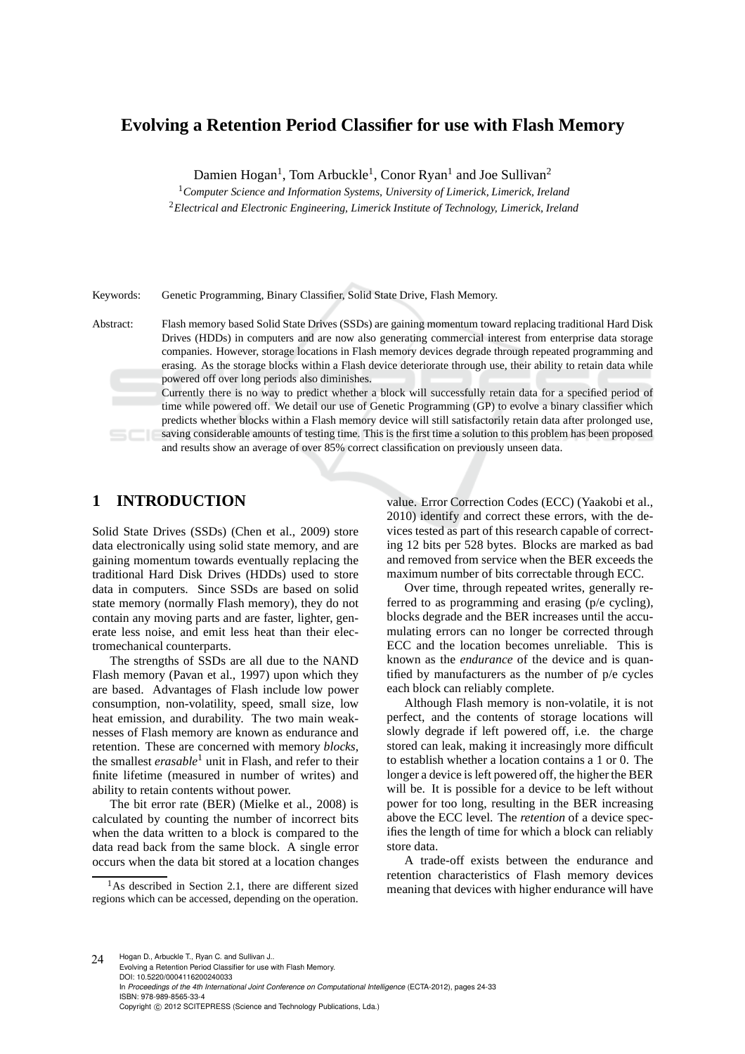# **Evolving a Retention Period Classifier for use with Flash Memory**

Damien Hogan<sup>1</sup>, Tom Arbuckle<sup>1</sup>, Conor Ryan<sup>1</sup> and Joe Sullivan<sup>2</sup>

<sup>1</sup>*Computer Science and Information Systems, University of Limerick, Limerick, Ireland* <sup>2</sup>*Electrical and Electronic Engineering, Limerick Institute of Technology, Limerick, Ireland*

Keywords: Genetic Programming, Binary Classifier, Solid State Drive, Flash Memory.

Abstract: Flash memory based Solid State Drives (SSDs) are gaining momentum toward replacing traditional Hard Disk Drives (HDDs) in computers and are now also generating commercial interest from enterprise data storage companies. However, storage locations in Flash memory devices degrade through repeated programming and erasing. As the storage blocks within a Flash device deteriorate through use, their ability to retain data while powered off over long periods also diminishes.

Currently there is no way to predict whether a block will successfully retain data for a specified period of time while powered off. We detail our use of Genetic Programming (GP) to evolve a binary classifier which predicts whether blocks within a Flash memory device will still satisfactorily retain data after prolonged use, saving considerable amounts of testing time. This is the first time a solution to this problem has been proposed and results show an average of over 85% correct classification on previously unseen data.

# **1 INTRODUCTION**

Solid State Drives (SSDs) (Chen et al., 2009) store data electronically using solid state memory, and are gaining momentum towards eventually replacing the traditional Hard Disk Drives (HDDs) used to store data in computers. Since SSDs are based on solid state memory (normally Flash memory), they do not contain any moving parts and are faster, lighter, generate less noise, and emit less heat than their electromechanical counterparts.

The strengths of SSDs are all due to the NAND Flash memory (Pavan et al., 1997) upon which they are based. Advantages of Flash include low power consumption, non-volatility, speed, small size, low heat emission, and durability. The two main weaknesses of Flash memory are known as endurance and retention. These are concerned with memory *blocks*, the smallest *erasable*<sup>1</sup> unit in Flash, and refer to their finite lifetime (measured in number of writes) and ability to retain contents without power.

The bit error rate (BER) (Mielke et al., 2008) is calculated by counting the number of incorrect bits when the data written to a block is compared to the data read back from the same block. A single error occurs when the data bit stored at a location changes

 $<sup>1</sup>$ As described in Section 2.1, there are different sized</sup> regions which can be accessed, depending on the operation. value. Error Correction Codes (ECC) (Yaakobi et al., 2010) identify and correct these errors, with the devices tested as part of this research capable of correcting 12 bits per 528 bytes. Blocks are marked as bad and removed from service when the BER exceeds the maximum number of bits correctable through ECC.

Over time, through repeated writes, generally referred to as programming and erasing (p/e cycling), blocks degrade and the BER increases until the accumulating errors can no longer be corrected through ECC and the location becomes unreliable. This is known as the *endurance* of the device and is quantified by manufacturers as the number of p/e cycles each block can reliably complete.

Although Flash memory is non-volatile, it is not perfect, and the contents of storage locations will slowly degrade if left powered off, i.e. the charge stored can leak, making it increasingly more difficult to establish whether a location contains a 1 or 0. The longer a device is left powered off, the higher the BER will be. It is possible for a device to be left without power for too long, resulting in the BER increasing above the ECC level. The *retention* of a device specifies the length of time for which a block can reliably store data.

A trade-off exists between the endurance and retention characteristics of Flash memory devices meaning that devices with higher endurance will have

 $24$  Hogan D., Arbuckle T., Ryan C. and Sullivan J. Evolving a Retention Period Classifier for use with Flash Memory. DOI: 10.5220/0004116200240033 In *Proceedings of the 4th International Joint Conference on Computational Intelligence* (ECTA-2012), pages 24-33 ISBN: 978-989-8565-33-4 Copyright © 2012 SCITEPRESS (Science and Technology Publications, Lda.)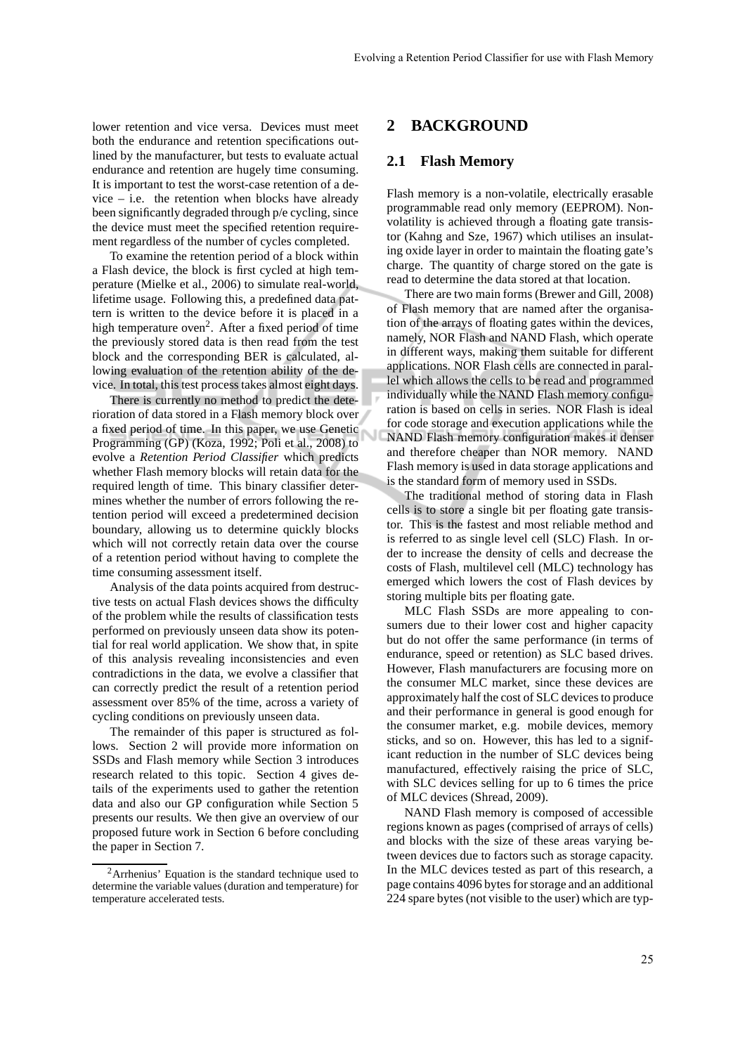lower retention and vice versa. Devices must meet both the endurance and retention specifications outlined by the manufacturer, but tests to evaluate actual endurance and retention are hugely time consuming. It is important to test the worst-case retention of a de $vice – i.e.$  the retention when blocks have already been significantly degraded through p/e cycling, since the device must meet the specified retention requirement regardless of the number of cycles completed.

To examine the retention period of a block within a Flash device, the block is first cycled at high temperature (Mielke et al., 2006) to simulate real-world, lifetime usage. Following this, a predefined data pattern is written to the device before it is placed in a high temperature oven<sup>2</sup>. After a fixed period of time the previously stored data is then read from the test block and the corresponding BER is calculated, allowing evaluation of the retention ability of the device. In total, this test process takes almost eight days.

There is currently no method to predict the deterioration of data stored in a Flash memory block over a fixed period of time. In this paper, we use Genetic Programming (GP) (Koza, 1992; Poli et al., 2008) to evolve a *Retention Period Classifier* which predicts whether Flash memory blocks will retain data for the required length of time. This binary classifier determines whether the number of errors following the retention period will exceed a predetermined decision boundary, allowing us to determine quickly blocks which will not correctly retain data over the course of a retention period without having to complete the time consuming assessment itself.

Analysis of the data points acquired from destructive tests on actual Flash devices shows the difficulty of the problem while the results of classification tests performed on previously unseen data show its potential for real world application. We show that, in spite of this analysis revealing inconsistencies and even contradictions in the data, we evolve a classifier that can correctly predict the result of a retention period assessment over 85% of the time, across a variety of cycling conditions on previously unseen data.

The remainder of this paper is structured as follows. Section 2 will provide more information on SSDs and Flash memory while Section 3 introduces research related to this topic. Section 4 gives details of the experiments used to gather the retention data and also our GP configuration while Section 5 presents our results. We then give an overview of our proposed future work in Section 6 before concluding the paper in Section 7.

## **2 BACKGROUND**

#### **2.1 Flash Memory**

Flash memory is a non-volatile, electrically erasable programmable read only memory (EEPROM). Nonvolatility is achieved through a floating gate transistor (Kahng and Sze, 1967) which utilises an insulating oxide layer in order to maintain the floating gate's charge. The quantity of charge stored on the gate is read to determine the data stored at that location.

There are two main forms (Brewer and Gill, 2008) of Flash memory that are named after the organisation of the arrays of floating gates within the devices, namely, NOR Flash and NAND Flash, which operate in different ways, making them suitable for different applications. NOR Flash cells are connected in parallel which allows the cells to be read and programmed individually while the NAND Flash memory configuration is based on cells in series. NOR Flash is ideal for code storage and execution applications while the NAND Flash memory configuration makes it denser and therefore cheaper than NOR memory. NAND Flash memory is used in data storage applications and is the standard form of memory used in SSDs.

The traditional method of storing data in Flash cells is to store a single bit per floating gate transistor. This is the fastest and most reliable method and is referred to as single level cell (SLC) Flash. In order to increase the density of cells and decrease the costs of Flash, multilevel cell (MLC) technology has emerged which lowers the cost of Flash devices by storing multiple bits per floating gate.

MLC Flash SSDs are more appealing to consumers due to their lower cost and higher capacity but do not offer the same performance (in terms of endurance, speed or retention) as SLC based drives. However, Flash manufacturers are focusing more on the consumer MLC market, since these devices are approximately half the cost of SLC devices to produce and their performance in general is good enough for the consumer market, e.g. mobile devices, memory sticks, and so on. However, this has led to a significant reduction in the number of SLC devices being manufactured, effectively raising the price of SLC, with SLC devices selling for up to 6 times the price of MLC devices (Shread, 2009).

NAND Flash memory is composed of accessible regions known as pages (comprised of arrays of cells) and blocks with the size of these areas varying between devices due to factors such as storage capacity. In the MLC devices tested as part of this research, a page contains 4096 bytes for storage and an additional 224 spare bytes (not visible to the user) which are typ-

<sup>2</sup>Arrhenius' Equation is the standard technique used to determine the variable values (duration and temperature) for temperature accelerated tests.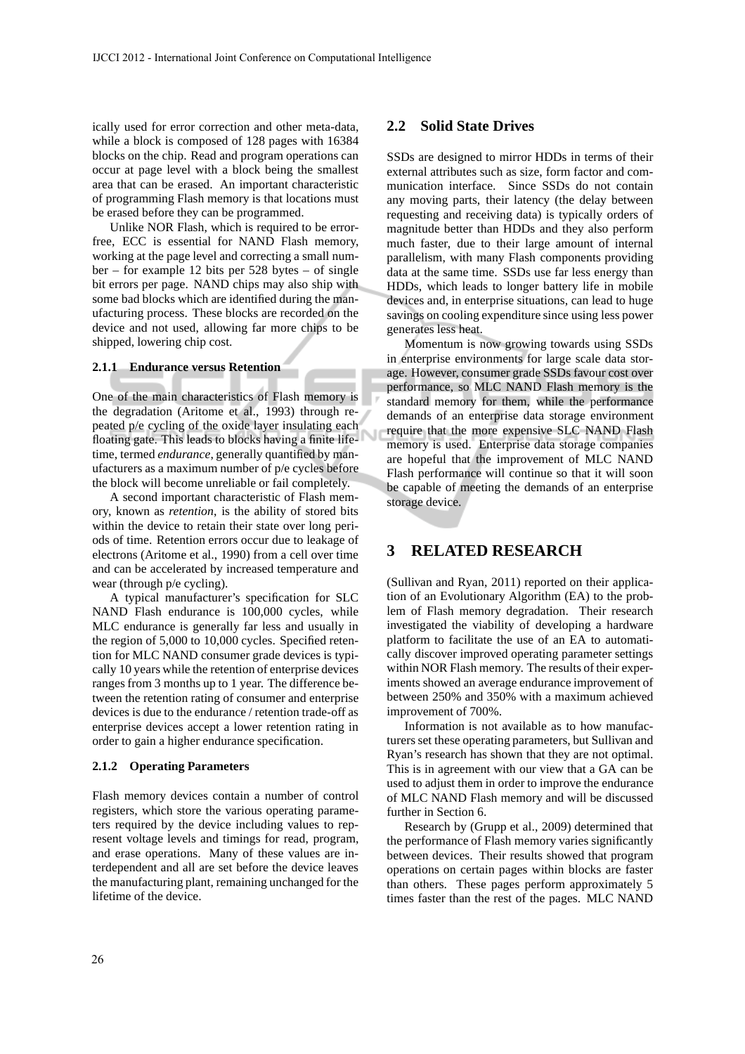ically used for error correction and other meta-data, while a block is composed of 128 pages with 16384 blocks on the chip. Read and program operations can occur at page level with a block being the smallest area that can be erased. An important characteristic of programming Flash memory is that locations must be erased before they can be programmed.

Unlike NOR Flash, which is required to be errorfree, ECC is essential for NAND Flash memory, working at the page level and correcting a small number – for example 12 bits per 528 bytes – of single bit errors per page. NAND chips may also ship with some bad blocks which are identified during the manufacturing process. These blocks are recorded on the device and not used, allowing far more chips to be shipped, lowering chip cost.

#### **2.1.1 Endurance versus Retention**

One of the main characteristics of Flash memory is the degradation (Aritome et al., 1993) through repeated p/e cycling of the oxide layer insulating each floating gate. This leads to blocks having a finite lifetime, termed *endurance*, generally quantified by manufacturers as a maximum number of p/e cycles before the block will become unreliable or fail completely.

A second important characteristic of Flash memory, known as *retention*, is the ability of stored bits within the device to retain their state over long periods of time. Retention errors occur due to leakage of electrons (Aritome et al., 1990) from a cell over time and can be accelerated by increased temperature and wear (through p/e cycling).

A typical manufacturer's specification for SLC NAND Flash endurance is 100,000 cycles, while MLC endurance is generally far less and usually in the region of 5,000 to 10,000 cycles. Specified retention for MLC NAND consumer grade devices is typically 10 years while the retention of enterprise devices ranges from 3 months up to 1 year. The difference between the retention rating of consumer and enterprise devices is due to the endurance / retention trade-off as enterprise devices accept a lower retention rating in order to gain a higher endurance specification.

#### **2.1.2 Operating Parameters**

Flash memory devices contain a number of control registers, which store the various operating parameters required by the device including values to represent voltage levels and timings for read, program, and erase operations. Many of these values are interdependent and all are set before the device leaves the manufacturing plant, remaining unchanged for the lifetime of the device.

#### **2.2 Solid State Drives**

SSDs are designed to mirror HDDs in terms of their external attributes such as size, form factor and communication interface. Since SSDs do not contain any moving parts, their latency (the delay between requesting and receiving data) is typically orders of magnitude better than HDDs and they also perform much faster, due to their large amount of internal parallelism, with many Flash components providing data at the same time. SSDs use far less energy than HDDs, which leads to longer battery life in mobile devices and, in enterprise situations, can lead to huge savings on cooling expenditure since using less power generates less heat.

Momentum is now growing towards using SSDs in enterprise environments for large scale data storage. However, consumer grade SSDs favour cost over performance, so MLC NAND Flash memory is the standard memory for them, while the performance demands of an enterprise data storage environment require that the more expensive SLC NAND Flash memory is used. Enterprise data storage companies are hopeful that the improvement of MLC NAND Flash performance will continue so that it will soon be capable of meeting the demands of an enterprise storage device.

## **3 RELATED RESEARCH**

(Sullivan and Ryan, 2011) reported on their application of an Evolutionary Algorithm (EA) to the problem of Flash memory degradation. Their research investigated the viability of developing a hardware platform to facilitate the use of an EA to automatically discover improved operating parameter settings within NOR Flash memory. The results of their experiments showed an average endurance improvement of between 250% and 350% with a maximum achieved improvement of 700%.

Information is not available as to how manufacturers set these operating parameters, but Sullivan and Ryan's research has shown that they are not optimal. This is in agreement with our view that a GA can be used to adjust them in order to improve the endurance of MLC NAND Flash memory and will be discussed further in Section 6.

Research by (Grupp et al., 2009) determined that the performance of Flash memory varies significantly between devices. Their results showed that program operations on certain pages within blocks are faster than others. These pages perform approximately 5 times faster than the rest of the pages. MLC NAND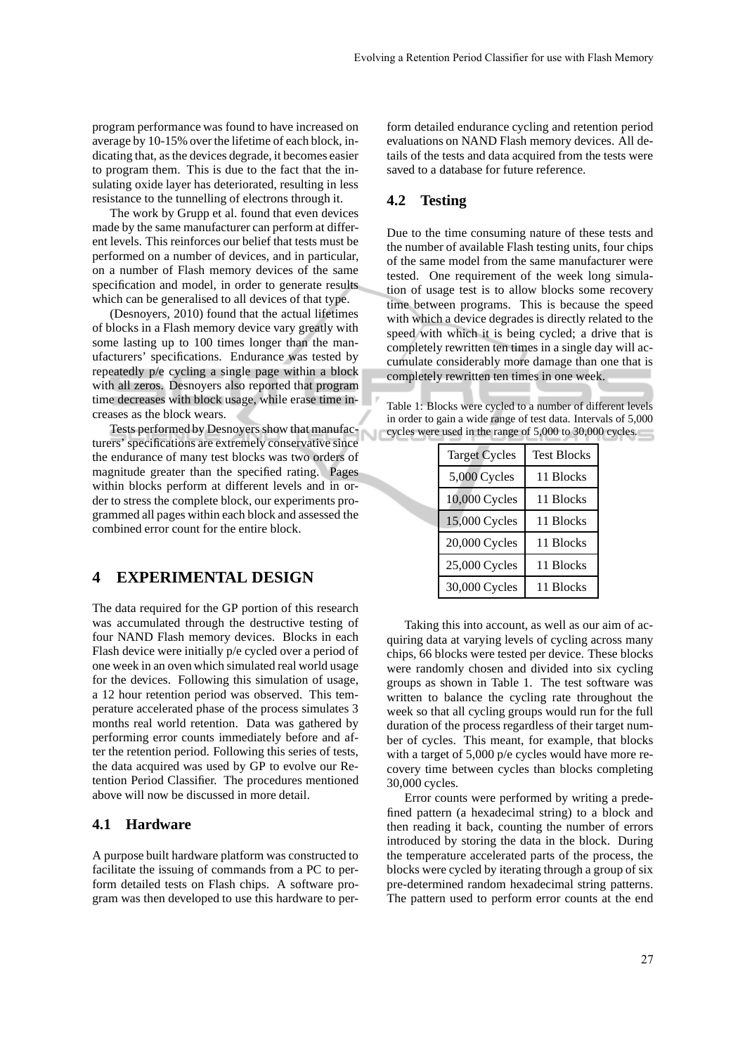program performance was found to have increased on average by 10-15% over the lifetime of each block, indicating that, as the devices degrade, it becomes easier to program them. This is due to the fact that the insulating oxide layer has deteriorated, resulting in less resistance to the tunnelling of electrons through it.

The work by Grupp et al. found that even devices made by the same manufacturer can perform at different levels. This reinforces our belief that tests must be performed on a number of devices, and in particular, on a number of Flash memory devices of the same specification and model, in order to generate results which can be generalised to all devices of that type.

(Desnoyers, 2010) found that the actual lifetimes of blocks in a Flash memory device vary greatly with some lasting up to 100 times longer than the manufacturers' specifications. Endurance was tested by repeatedly p/e cycling a single page within a block with all zeros. Desnoyers also reported that program time decreases with block usage, while erase time increases as the block wears.

Tests performed by Desnoyers show that manufacturers' specifications are extremely conservative since the endurance of many test blocks was two orders of magnitude greater than the specified rating. Pages within blocks perform at different levels and in order to stress the complete block, our experiments programmed all pages within each block and assessed the combined error count for the entire block.

# **4 EXPERIMENTAL DESIGN**

The data required for the GP portion of this research was accumulated through the destructive testing of four NAND Flash memory devices. Blocks in each Flash device were initially p/e cycled over a period of one week in an oven which simulated real world usage for the devices. Following this simulation of usage, a 12 hour retention period was observed. This temperature accelerated phase of the process simulates 3 months real world retention. Data was gathered by performing error counts immediately before and after the retention period. Following this series of tests, the data acquired was used by GP to evolve our Retention Period Classifier. The procedures mentioned above will now be discussed in more detail.

#### **4.1 Hardware**

A purpose built hardware platform was constructed to facilitate the issuing of commands from a PC to perform detailed tests on Flash chips. A software program was then developed to use this hardware to perform detailed endurance cycling and retention period evaluations on NAND Flash memory devices. All details of the tests and data acquired from the tests were saved to a database for future reference.

## **4.2 Testing**

Due to the time consuming nature of these tests and the number of available Flash testing units, four chips of the same model from the same manufacturer were tested. One requirement of the week long simulation of usage test is to allow blocks some recovery time between programs. This is because the speed with which a device degrades is directly related to the speed with which it is being cycled; a drive that is completely rewritten ten times in a single day will accumulate considerably more damage than one that is completely rewritten ten times in one week.

Table 1: Blocks were cycled to a number of different levels in order to gain a wide range of test data. Intervals of 5,000 cycles were used in the range of 5,000 to 30,000 cycles.

| <b>Target Cycles</b> | <b>Test Blocks</b> |
|----------------------|--------------------|
| 5,000 Cycles         | 11 Blocks          |
| 10,000 Cycles        | 11 Blocks          |
| 15,000 Cycles        | 11 Blocks          |
| 20,000 Cycles        | 11 Blocks          |
| 25,000 Cycles        | 11 Blocks          |
| 30,000 Cycles        | 11 Blocks          |

Taking this into account, as well as our aim of acquiring data at varying levels of cycling across many chips, 66 blocks were tested per device. These blocks were randomly chosen and divided into six cycling groups as shown in Table 1. The test software was written to balance the cycling rate throughout the week so that all cycling groups would run for the full duration of the process regardless of their target number of cycles. This meant, for example, that blocks with a target of 5,000 p/e cycles would have more recovery time between cycles than blocks completing 30,000 cycles.

Error counts were performed by writing a predefined pattern (a hexadecimal string) to a block and then reading it back, counting the number of errors introduced by storing the data in the block. During the temperature accelerated parts of the process, the blocks were cycled by iterating through a group of six pre-determined random hexadecimal string patterns. The pattern used to perform error counts at the end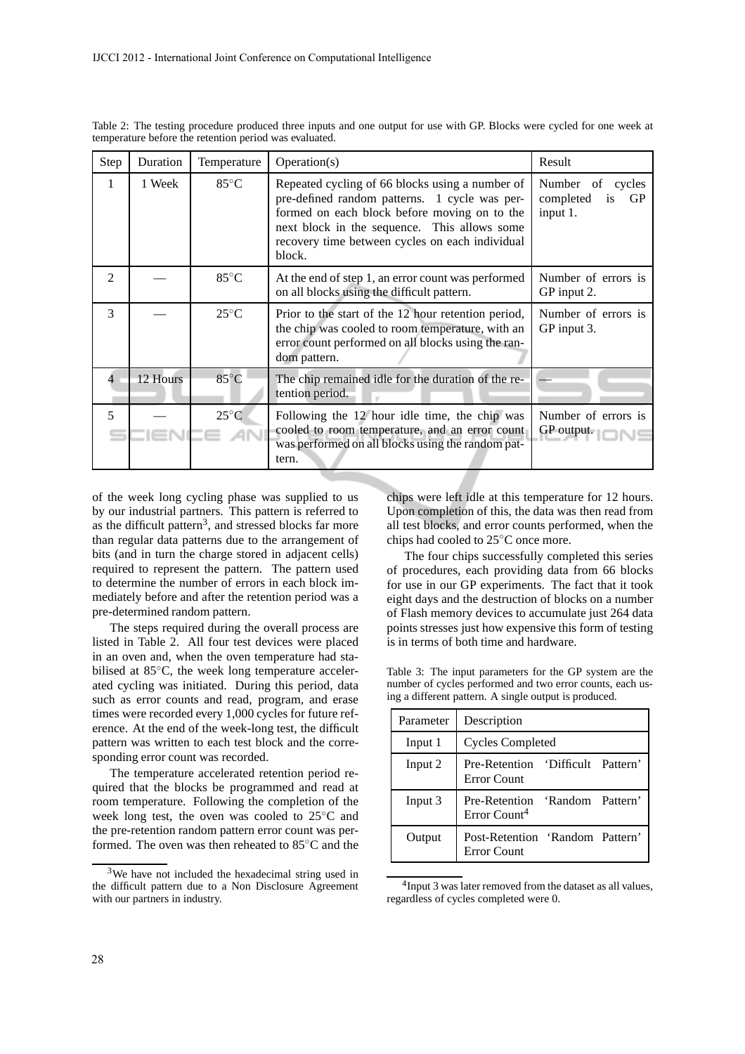| Step           | Duration | Temperature    | Operation(s)                                                                                                                                                                                                                                                  | Result                                                      |  |
|----------------|----------|----------------|---------------------------------------------------------------------------------------------------------------------------------------------------------------------------------------------------------------------------------------------------------------|-------------------------------------------------------------|--|
| 1              | 1 Week   | $85^{\circ}$ C | Repeated cycling of 66 blocks using a number of<br>pre-defined random patterns. 1 cycle was per-<br>formed on each block before moving on to the<br>next block in the sequence. This allows some<br>recovery time between cycles on each individual<br>block. | Number<br>of<br>cycles<br>completed<br>is<br>GP<br>input 1. |  |
| $\mathfrak{D}$ |          | $85^{\circ}$ C | At the end of step 1, an error count was performed<br>on all blocks using the difficult pattern.                                                                                                                                                              | Number of errors is<br>GP input 2.                          |  |
| 3              |          | $25^{\circ}$ C | Prior to the start of the 12 hour retention period,<br>the chip was cooled to room temperature, with an<br>error count performed on all blocks using the ran-<br>dom pattern.                                                                                 | Number of errors is<br>GP input 3.                          |  |
| 4              | 12 Hours | $85^{\circ}$ C | The chip remained idle for the duration of the re-<br>tention period.                                                                                                                                                                                         |                                                             |  |
| 5              |          | $25^{\circ}$ C | Following the 12 hour idle time, the chip was<br>cooled to room temperature, and an error count<br>was performed on all blocks using the random pat-<br>tern.                                                                                                 | Number of errors is<br>GP output.                           |  |

Table 2: The testing procedure produced three inputs and one output for use with GP. Blocks were cycled for one week at temperature before the retention period was evaluated.

of the week long cycling phase was supplied to us by our industrial partners. This pattern is referred to as the difficult pattern<sup>3</sup>, and stressed blocks far more than regular data patterns due to the arrangement of bits (and in turn the charge stored in adjacent cells) required to represent the pattern. The pattern used to determine the number of errors in each block immediately before and after the retention period was a pre-determined random pattern.

The steps required during the overall process are listed in Table 2. All four test devices were placed in an oven and, when the oven temperature had stabilised at 85◦C, the week long temperature accelerated cycling was initiated. During this period, data such as error counts and read, program, and erase times were recorded every 1,000 cycles for future reference. At the end of the week-long test, the difficult pattern was written to each test block and the corresponding error count was recorded.

The temperature accelerated retention period required that the blocks be programmed and read at room temperature. Following the completion of the week long test, the oven was cooled to 25◦C and the pre-retention random pattern error count was performed. The oven was then reheated to 85◦C and the chips were left idle at this temperature for 12 hours. Upon completion of this, the data was then read from all test blocks, and error counts performed, when the chips had cooled to 25◦C once more.

The four chips successfully completed this series of procedures, each providing data from 66 blocks for use in our GP experiments. The fact that it took eight days and the destruction of blocks on a number of Flash memory devices to accumulate just 264 data points stresses just how expensive this form of testing is in terms of both time and hardware.

Table 3: The input parameters for the GP system are the number of cycles performed and two error counts, each using a different pattern. A single output is produced.

| Parameter | Description                                                |  |  |  |
|-----------|------------------------------------------------------------|--|--|--|
| Input 1   | Cycles Completed                                           |  |  |  |
| Input 2   | Pre-Retention 'Difficult Pattern'<br><b>Error Count</b>    |  |  |  |
| Input 3   | Pre-Retention 'Random Pattern'<br>Error Count <sup>4</sup> |  |  |  |
| Output    | Post-Retention 'Random Pattern'<br>Error Count             |  |  |  |

<sup>&</sup>lt;sup>4</sup>Input 3 was later removed from the dataset as all values, regardless of cycles completed were 0.

<sup>3</sup>We have not included the hexadecimal string used in the difficult pattern due to a Non Disclosure Agreement with our partners in industry.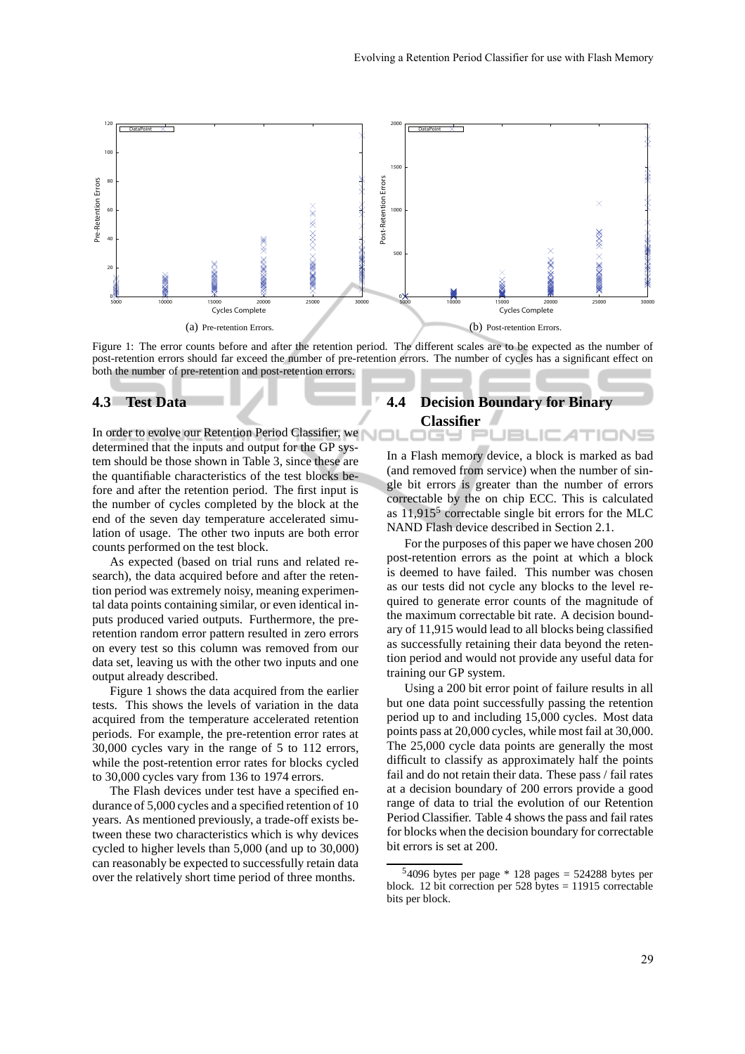

Figure 1: The error counts before and after the retention period. The different scales are to be expected as the number of post-retention errors should far exceed the number of pre-retention errors. The number of cycles has a significant effect on both the number of pre-retention and post-retention errors.

## **4.3 Test Data**

In order to evolve our Retention Period Classifier, we determined that the inputs and output for the GP system should be those shown in Table 3, since these are the quantifiable characteristics of the test blocks before and after the retention period. The first input is the number of cycles completed by the block at the end of the seven day temperature accelerated simulation of usage. The other two inputs are both error counts performed on the test block.

As expected (based on trial runs and related research), the data acquired before and after the retention period was extremely noisy, meaning experimental data points containing similar, or even identical inputs produced varied outputs. Furthermore, the preretention random error pattern resulted in zero errors on every test so this column was removed from our data set, leaving us with the other two inputs and one output already described.

Figure 1 shows the data acquired from the earlier tests. This shows the levels of variation in the data acquired from the temperature accelerated retention periods. For example, the pre-retention error rates at 30,000 cycles vary in the range of 5 to 112 errors, while the post-retention error rates for blocks cycled to 30,000 cycles vary from 136 to 1974 errors.

The Flash devices under test have a specified endurance of 5,000 cycles and a specified retention of 10 years. As mentioned previously, a trade-off exists between these two characteristics which is why devices cycled to higher levels than 5,000 (and up to 30,000) can reasonably be expected to successfully retain data over the relatively short time period of three months.

# **4.4 Decision Boundary for Binary**

**Classifier**

In a Flash memory device, a block is marked as bad (and removed from service) when the number of single bit errors is greater than the number of errors correctable by the on chip ECC. This is calculated as  $11,915<sup>5</sup>$  correctable single bit errors for the MLC NAND Flash device described in Section 2.1.

JBLIC ATIONS

For the purposes of this paper we have chosen 200 post-retention errors as the point at which a block is deemed to have failed. This number was chosen as our tests did not cycle any blocks to the level required to generate error counts of the magnitude of the maximum correctable bit rate. A decision boundary of 11,915 would lead to all blocks being classified as successfully retaining their data beyond the retention period and would not provide any useful data for training our GP system.

Using a 200 bit error point of failure results in all but one data point successfully passing the retention period up to and including 15,000 cycles. Most data points pass at 20,000 cycles, while most fail at 30,000. The 25,000 cycle data points are generally the most difficult to classify as approximately half the points fail and do not retain their data. These pass / fail rates at a decision boundary of 200 errors provide a good range of data to trial the evolution of our Retention Period Classifier. Table 4 shows the pass and fail rates for blocks when the decision boundary for correctable bit errors is set at 200.

 $54096$  bytes per page  $* 128$  pages = 524288 bytes per block. 12 bit correction per 528 bytes = 11915 correctable bits per block.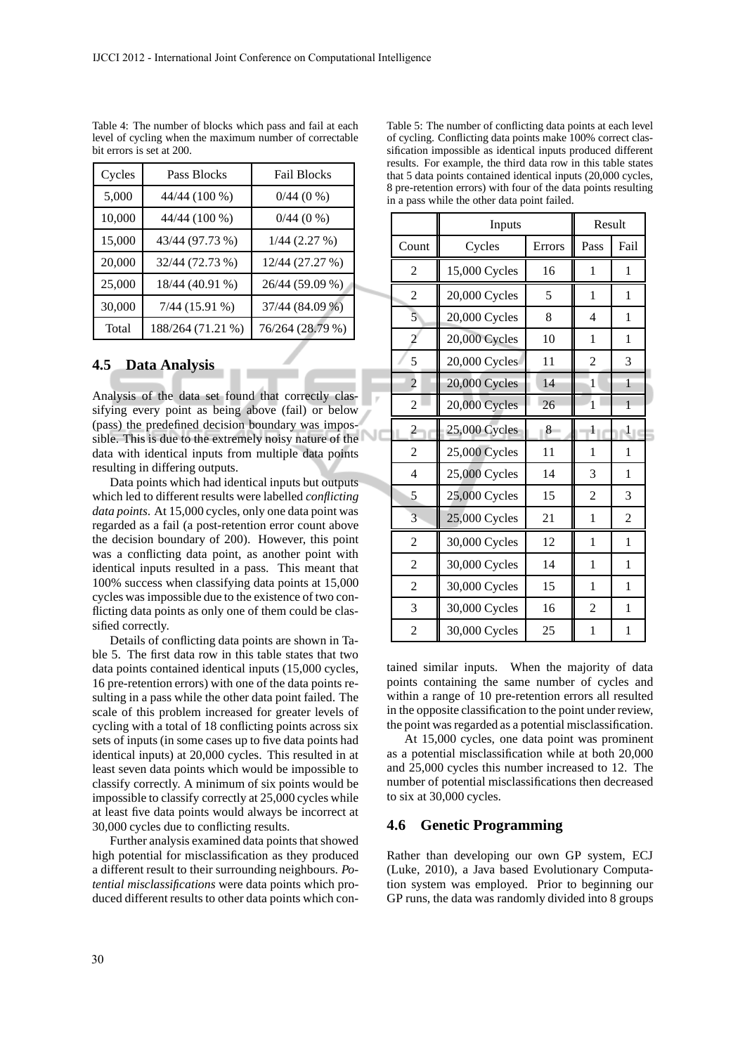| Cycles | Pass Blocks       | <b>Fail Blocks</b> |  |  |
|--------|-------------------|--------------------|--|--|
| 5,000  | 44/44 (100 %)     | $0/44$ (0 %)       |  |  |
| 10,000 | 44/44 (100 %)     | $0/44$ (0 %)       |  |  |
| 15,000 | 43/44 (97.73 %)   | $1/44$ (2.27 %)    |  |  |
| 20,000 | 32/44 (72.73 %)   | 12/44 (27.27 %)    |  |  |
| 25,000 | 18/44 (40.91 %)   | 26/44 (59.09 %)    |  |  |
| 30,000 | $7/44$ (15.91 %)  | 37/44 (84.09 %)    |  |  |
| Total  | 188/264 (71.21 %) | 76/264 (28.79 %)   |  |  |

Table 4: The number of blocks which pass and fail at each level of cycling when the maximum number of correctable bit errors is set at 200.

## **4.5 Data Analysis**

Analysis of the data set found that correctly classifying every point as being above (fail) or below (pass) the predefined decision boundary was impossible. This is due to the extremely noisy nature of the data with identical inputs from multiple data points resulting in differing outputs.

Data points which had identical inputs but outputs which led to different results were labelled *conflicting data points*. At 15,000 cycles, only one data point was regarded as a fail (a post-retention error count above the decision boundary of 200). However, this point was a conflicting data point, as another point with identical inputs resulted in a pass. This meant that 100% success when classifying data points at 15,000 cycles was impossible due to the existence of two conflicting data points as only one of them could be classified correctly.

Details of conflicting data points are shown in Table 5. The first data row in this table states that two data points contained identical inputs (15,000 cycles, 16 pre-retention errors) with one of the data points resulting in a pass while the other data point failed. The scale of this problem increased for greater levels of cycling with a total of 18 conflicting points across six sets of inputs (in some cases up to five data points had identical inputs) at 20,000 cycles. This resulted in at least seven data points which would be impossible to classify correctly. A minimum of six points would be impossible to classify correctly at 25,000 cycles while at least five data points would always be incorrect at 30,000 cycles due to conflicting results.

Further analysis examined data points that showed high potential for misclassification as they produced a different result to their surrounding neighbours. *Potential misclassifications* were data points which produced different results to other data points which con-

| Table 5: The number of conflicting data points at each level   |
|----------------------------------------------------------------|
| of cycling. Conflicting data points make 100% correct clas-    |
| sification impossible as identical inputs produced different   |
| results. For example, the third data row in this table states  |
| that 5 data points contained identical inputs (20,000 cycles,  |
| 8 pre-retention errors) with four of the data points resulting |
| in a pass while the other data point failed.                   |
|                                                                |

|                | Inputs              | Result |                |              |
|----------------|---------------------|--------|----------------|--------------|
| Count          | Cycles              | Errors | Pass           | Fail         |
| 2              | 15,000 Cycles       | 16     | 1              | 1            |
| $\overline{2}$ | 20,000 Cycles       | 5      | 1              | 1            |
| 5              | 20,000 Cycles       | 8      | $\overline{4}$ | 1            |
| $\overline{2}$ | 20,000 Cycles       | 10     | 1              | 1            |
| 5              | 20,000 Cycles       | 11     | $\overline{2}$ | 3            |
| $\overline{2}$ | 20,000 Cycles       | 14     | 1              | 1            |
| 2              | 20,000 Cycles       | 26     | $\mathbf{1}$   | 1            |
| $\overline{c}$ | 25,000 Cycles       | 8      | 1              | $\mathbf{1}$ |
| 2              | 25,000 Cycles       | 11     | 1              | 1            |
| $\overline{4}$ | 25,000 Cycles       | 14     | 3              | 1            |
| 5              | 25,000 Cycles       | 15     | 2              | 3            |
| 3              | 25,000 Cycles<br>21 |        | 1              | 2            |
| $\overline{2}$ | 30,000 Cycles       | 12     | 1              | 1            |
| 2              | 30,000 Cycles       | 14     | 1              | 1            |
| $\overline{2}$ | 30,000 Cycles       | 15     | 1              | 1            |
| 3              | 30,000 Cycles       | 16     | $\overline{2}$ | 1            |
| $\overline{2}$ | 30,000 Cycles       | 25     | 1              | 1            |

NС

tained similar inputs. When the majority of data points containing the same number of cycles and within a range of 10 pre-retention errors all resulted in the opposite classification to the point under review, the point was regarded as a potential misclassification.

At 15,000 cycles, one data point was prominent as a potential misclassification while at both 20,000 and 25,000 cycles this number increased to 12. The number of potential misclassifications then decreased to six at 30,000 cycles.

#### **4.6 Genetic Programming**

Rather than developing our own GP system, ECJ (Luke, 2010), a Java based Evolutionary Computation system was employed. Prior to beginning our GP runs, the data was randomly divided into 8 groups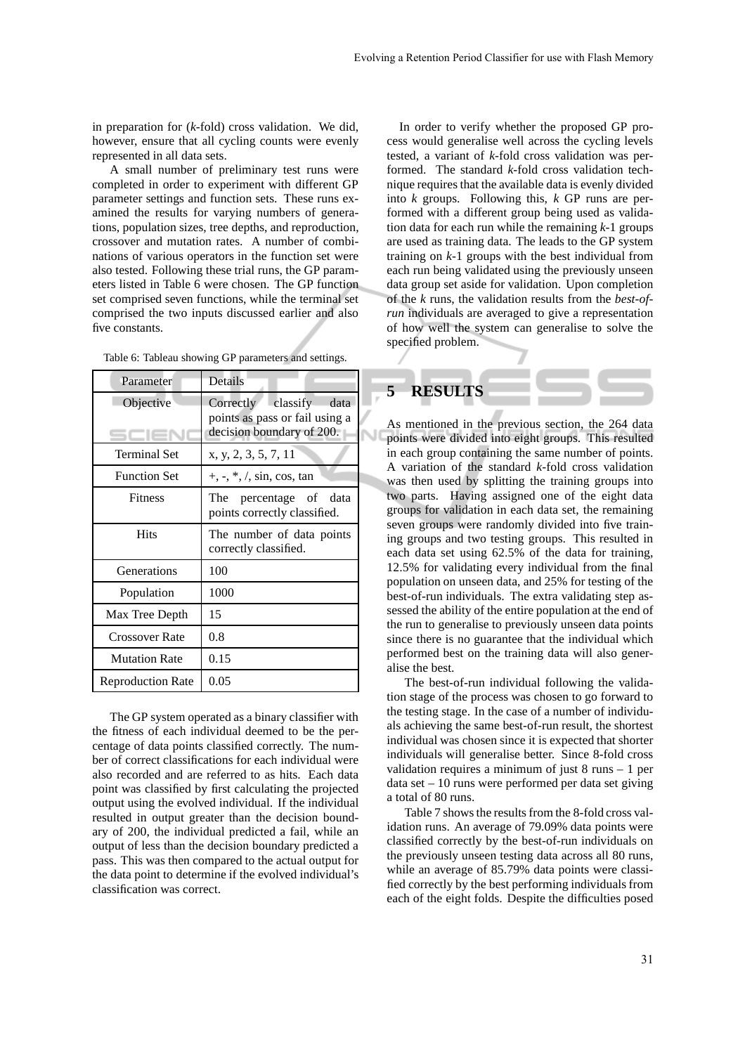in preparation for (*k*-fold) cross validation. We did, however, ensure that all cycling counts were evenly represented in all data sets.

A small number of preliminary test runs were completed in order to experiment with different GP parameter settings and function sets. These runs examined the results for varying numbers of generations, population sizes, tree depths, and reproduction, crossover and mutation rates. A number of combinations of various operators in the function set were also tested. Following these trial runs, the GP parameters listed in Table 6 were chosen. The GP function set comprised seven functions, while the terminal set comprised the two inputs discussed earlier and also five constants.

| Parameter                | Details                                                                                   |  |  |  |
|--------------------------|-------------------------------------------------------------------------------------------|--|--|--|
| Objective                | Correctly classify<br>data<br>points as pass or fail using a<br>decision boundary of 200. |  |  |  |
| <b>Terminal Set</b>      | x, y, 2, 3, 5, 7, 11                                                                      |  |  |  |
| <b>Function Set</b>      | $+, -, *, /, \sin, \cos, \tan$                                                            |  |  |  |
| Fitness                  | The percentage of data<br>points correctly classified.                                    |  |  |  |
| <b>Hits</b>              | The number of data points<br>correctly classified.                                        |  |  |  |
| Generations              | 100                                                                                       |  |  |  |
| Population               | 1000                                                                                      |  |  |  |
| Max Tree Depth           | 15                                                                                        |  |  |  |
| <b>Crossover Rate</b>    | 0.8                                                                                       |  |  |  |
| <b>Mutation Rate</b>     | 0.15                                                                                      |  |  |  |
| <b>Reproduction Rate</b> | 0.05                                                                                      |  |  |  |

Table 6: Tableau showing GP parameters and settings.

The GP system operated as a binary classifier with the fitness of each individual deemed to be the percentage of data points classified correctly. The number of correct classifications for each individual were also recorded and are referred to as hits. Each data point was classified by first calculating the projected output using the evolved individual. If the individual resulted in output greater than the decision boundary of 200, the individual predicted a fail, while an output of less than the decision boundary predicted a pass. This was then compared to the actual output for the data point to determine if the evolved individual's classification was correct.

In order to verify whether the proposed GP process would generalise well across the cycling levels tested, a variant of *k*-fold cross validation was performed. The standard *k*-fold cross validation technique requires that the available data is evenly divided into *k* groups. Following this, *k* GP runs are performed with a different group being used as validation data for each run while the remaining *k*-1 groups are used as training data. The leads to the GP system training on *k*-1 groups with the best individual from each run being validated using the previously unseen data group set aside for validation. Upon completion of the *k* runs, the validation results from the *best-ofrun* individuals are averaged to give a representation of how well the system can generalise to solve the specified problem.



As mentioned in the previous section, the 264 data points were divided into eight groups. This resulted in each group containing the same number of points. A variation of the standard *k*-fold cross validation was then used by splitting the training groups into two parts. Having assigned one of the eight data groups for validation in each data set, the remaining seven groups were randomly divided into five training groups and two testing groups. This resulted in each data set using 62.5% of the data for training, 12.5% for validating every individual from the final population on unseen data, and 25% for testing of the best-of-run individuals. The extra validating step assessed the ability of the entire population at the end of the run to generalise to previously unseen data points since there is no guarantee that the individual which performed best on the training data will also generalise the best.

The best-of-run individual following the validation stage of the process was chosen to go forward to the testing stage. In the case of a number of individuals achieving the same best-of-run result, the shortest individual was chosen since it is expected that shorter individuals will generalise better. Since 8-fold cross validation requires a minimum of just 8 runs – 1 per  $data set - 10 runs were performed per data set giving$ a total of 80 runs.

Table 7 shows the results from the 8-fold cross validation runs. An average of 79.09% data points were classified correctly by the best-of-run individuals on the previously unseen testing data across all 80 runs, while an average of 85.79% data points were classified correctly by the best performing individuals from each of the eight folds. Despite the difficulties posed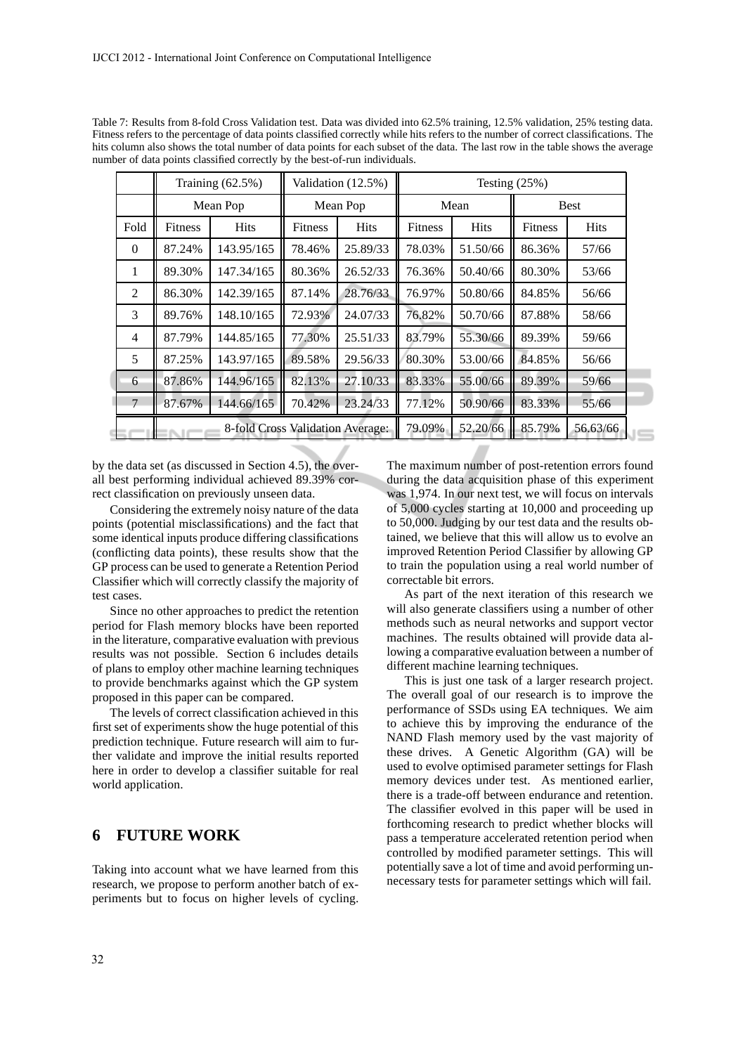|                | Training $(62.5\%)$              |             | Validation (12.5%) |             | Testing $(25%)$ |             |                |             |
|----------------|----------------------------------|-------------|--------------------|-------------|-----------------|-------------|----------------|-------------|
|                | Mean Pop                         |             | Mean Pop           |             | Mean            |             | Best           |             |
| Fold           | <b>Fitness</b>                   | <b>Hits</b> | <b>Fitness</b>     | <b>Hits</b> | <b>Fitness</b>  | <b>Hits</b> | <b>Fitness</b> | <b>Hits</b> |
| $\theta$       | 87.24%                           | 143.95/165  | 78.46%             | 25.89/33    | 78.03%          | 51.50/66    | 86.36%         | 57/66       |
| 1              | 89.30%                           | 147.34/165  | 80.36%             | 26.52/33    | 76.36%          | 50.40/66    | 80.30%         | 53/66       |
| 2              | 86.30%                           | 142.39/165  | 87.14%             | 28.76/33    | 76.97%          | 50.80/66    | 84.85%         | 56/66       |
| 3              | 89.76%                           | 148.10/165  | 72.93%             | 24.07/33    | 76.82%          | 50.70/66    | 87.88%         | 58/66       |
| $\overline{4}$ | 87.79%                           | 144.85/165  | 77.30%             | 25.51/33    | 83.79%          | 55.30/66    | 89.39%         | 59/66       |
| 5              | 87.25%                           | 143.97/165  | 89.58%             | 29.56/33    | 80.30%          | 53.00/66    | 84.85%         | 56/66       |
| 6              | 87.86%                           | 144.96/165  | 82.13%             | 27.10/33    | 83.33%          | 55.00/66    | 89.39%         | 59/66       |
| 7              | 87.67%                           | 144.66/165  | 70.42%             | 23.24/33    | 77.12%          | 50.90/66    | 83.33%         | 55/66       |
|                | 8-fold Cross Validation Average: |             |                    | 79.09%      | 52.20/66        | 85.79%      | 56.63/66       |             |

Table 7: Results from 8-fold Cross Validation test. Data was divided into 62.5% training, 12.5% validation, 25% testing data. Fitness refers to the percentage of data points classified correctly while hits refers to the number of correct classifications. The hits column also shows the total number of data points for each subset of the data. The last row in the table shows the average number of data points classified correctly by the best-of-run individuals.

by the data set (as discussed in Section 4.5), the overall best performing individual achieved 89.39% correct classification on previously unseen data.

Considering the extremely noisy nature of the data points (potential misclassifications) and the fact that some identical inputs produce differing classifications (conflicting data points), these results show that the GP process can be used to generate a Retention Period Classifier which will correctly classify the majority of test cases.

Since no other approaches to predict the retention period for Flash memory blocks have been reported in the literature, comparative evaluation with previous results was not possible. Section 6 includes details of plans to employ other machine learning techniques to provide benchmarks against which the GP system proposed in this paper can be compared.

The levels of correct classification achieved in this first set of experiments show the huge potential of this prediction technique. Future research will aim to further validate and improve the initial results reported here in order to develop a classifier suitable for real world application.

# **6 FUTURE WORK**

Taking into account what we have learned from this research, we propose to perform another batch of experiments but to focus on higher levels of cycling. The maximum number of post-retention errors found during the data acquisition phase of this experiment was 1,974. In our next test, we will focus on intervals of 5,000 cycles starting at 10,000 and proceeding up to 50,000. Judging by our test data and the results obtained, we believe that this will allow us to evolve an improved Retention Period Classifier by allowing GP to train the population using a real world number of correctable bit errors.

As part of the next iteration of this research we will also generate classifiers using a number of other methods such as neural networks and support vector machines. The results obtained will provide data allowing a comparative evaluation between a number of different machine learning techniques.

This is just one task of a larger research project. The overall goal of our research is to improve the performance of SSDs using EA techniques. We aim to achieve this by improving the endurance of the NAND Flash memory used by the vast majority of these drives. A Genetic Algorithm (GA) will be used to evolve optimised parameter settings for Flash memory devices under test. As mentioned earlier, there is a trade-off between endurance and retention. The classifier evolved in this paper will be used in forthcoming research to predict whether blocks will pass a temperature accelerated retention period when controlled by modified parameter settings. This will potentially save a lot of time and avoid performing unnecessary tests for parameter settings which will fail.